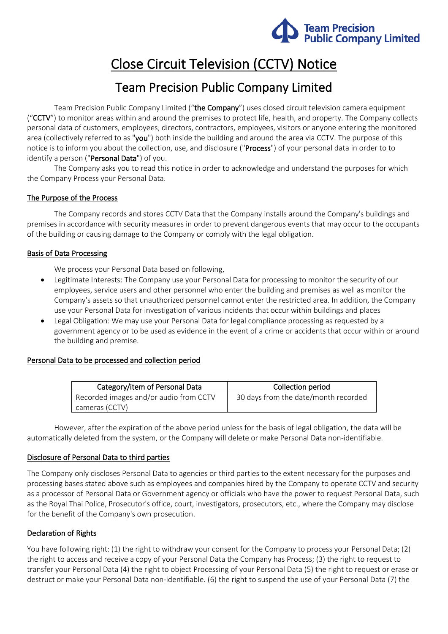

# Close Circuit Television (CCTV) Notice

# Team Precision Public Company Limited

Team Precision Public Company Limited ("the Company") uses closed circuit television camera equipment ("CCTV") to monitor areas within and around the premises to protect life, health, and property. The Company collects personal data of customers, employees, directors, contractors, employees, visitors or anyone entering the monitored area (collectively referred to as "you") both inside the building and around the area via CCTV. The purpose of this notice is to inform you about the collection, use, and disclosure ("Process") of your personal data in order to to identify a person ("Personal Data") of you.

The Company asks you to read this notice in order to acknowledge and understand the purposes for which the Company Process your Personal Data.

# The Purpose of the Process

The Company records and stores CCTV Data that the Company installs around the Company's buildings and premises in accordance with security measures in order to prevent dangerous events that may occur to the occupants of the building or causing damage to the Company or comply with the legal obligation.

# Basis of Data Processing

We process your Personal Data based on following,

- Legitimate Interests: The Company use your Personal Data for processing to monitor the security of our employees, service users and other personnel who enter the building and premises as well as monitor the Company's assets so that unauthorized personnel cannot enter the restricted area. In addition, the Company use your Personal Data for investigation of various incidents that occur within buildings and places
- Legal Obligation: We may use your Personal Data for legal compliance processing as requested by a government agency or to be used as evidence in the event of a crime or accidents that occur within or around the building and premise.

#### Personal Data to be processed and collection period

| Category/item of Personal Data         | Collection period                    |
|----------------------------------------|--------------------------------------|
| Recorded images and/or audio from CCTV | 30 days from the date/month recorded |
| cameras (CCTV)                         |                                      |

However, after the expiration of the above period unless for the basis of legal obligation, the data will be automatically deleted from the system, or the Company will delete or make Personal Data non-identifiable.

#### Disclosure of Personal Data to third parties

The Company only discloses Personal Data to agencies or third parties to the extent necessary for the purposes and processing bases stated above such as employees and companies hired by the Company to operate CCTV and security as a processor of Personal Data or Government agency or officials who have the power to request Personal Data, such as the Royal Thai Police, Prosecutor's office, court, investigators, prosecutors, etc., where the Company may disclose for the benefit of the Company's own prosecution.

# Declaration of Rights

You have following right: (1) the right to withdraw your consent for the Company to process your Personal Data; (2) the right to access and receive a copy of your Personal Data the Company has Process; (3) the right to request to transfer your Personal Data (4) the right to object Processing of your Personal Data (5) the right to request or erase or destruct or make your Personal Data non-identifiable. (6) the right to suspend the use of your Personal Data (7) the